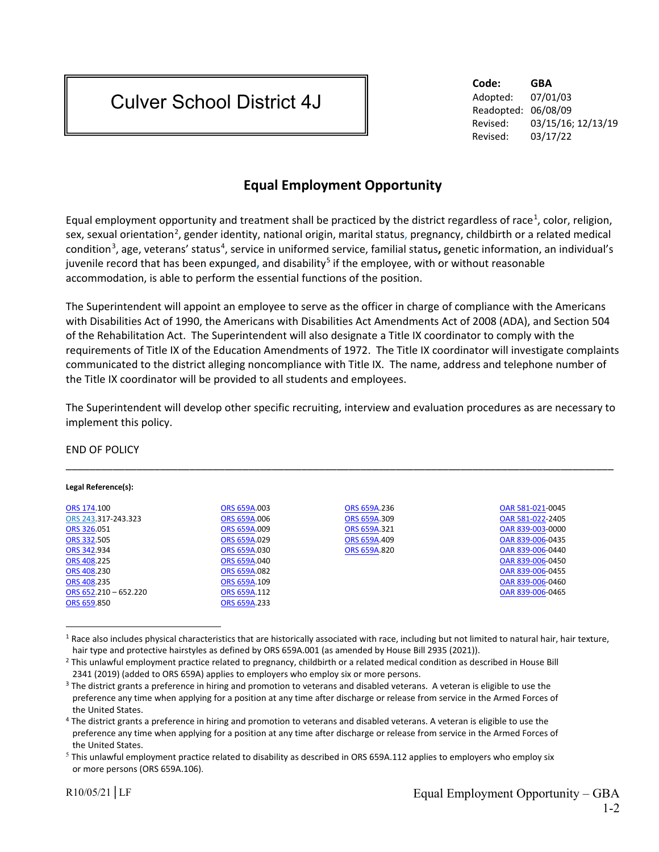## Culver School District 4J

**Code: GBA** Adopted: 07/01/03 Readopted: 06/08/09 Revised: 03/15/16; 12/13/19 Revised: 03/17/22

## **Equal Employment Opportunity**

Equal employment opportunity and treatment shall be practiced by the district regardless of race<sup>[1](#page-0-0)</sup>, color, religion, sex, sexual orientation<sup>[2](#page-0-1)</sup>, gender identity, national origin, marital status, pregnancy, childbirth or a related medical condition<sup>[3](#page-0-2)</sup>, age, veterans' status<sup>[4](#page-0-3)</sup>, service in uniformed service, familial status, genetic information, an individual's juvenile record that has been expunged**,** and disability[5](#page-0-4) if the employee, with or without reasonable accommodation, is able to perform the essential functions of the position.

The Superintendent will appoint an employee to serve as the officer in charge of compliance with the Americans with Disabilities Act of 1990, the Americans with Disabilities Act Amendments Act of 2008 (ADA), and Section 504 of the Rehabilitation Act. The Superintendent will also designate a Title IX coordinator to comply with the requirements of Title IX of the Education Amendments of 1972. The Title IX coordinator will investigate complaints communicated to the district alleging noncompliance with Title IX. The name, address and telephone number of the Title IX coordinator will be provided to all students and employees.

The Superintendent will develop other specific recruiting, interview and evaluation procedures as are necessary to implement this policy.

## END OF POLICY

| Legal Reference(s):     |              |              |                  |
|-------------------------|--------------|--------------|------------------|
| ORS 174.100             | ORS 659A.003 | ORS 659A.236 | OAR 581-021-0045 |
| ORS 243.317-243.323     | ORS 659A.006 | ORS 659A.309 | OAR 581-022-2405 |
| ORS 326.051             | ORS 659A.009 | ORS 659A.321 | OAR 839-003-0000 |
| ORS 332.505             | ORS 659A.029 | ORS 659A.409 | OAR 839-006-0435 |
| ORS 342.934             | ORS 659A.030 | ORS 659A.820 | OAR 839-006-0440 |
| ORS 408.225             | ORS 659A.040 |              | OAR 839-006-0450 |
| ORS 408.230             | ORS 659A.082 |              | OAR 839-006-0455 |
| ORS 408.235             | ORS 659A.109 |              | OAR 839-006-0460 |
| ORS $652.210 - 652.220$ | ORS 659A.112 |              | OAR 839-006-0465 |
| ORS 659.850             | ORS 659A.233 |              |                  |

<span id="page-0-0"></span> $1$  Race also includes physical characteristics that are historically associated with race, including but not limited to natural hair, hair texture, hair type and protective hairstyles as defined by ORS 659A.001 (as amended by House Bill 2935 (2021)).

 $\overline{a}$ 

<span id="page-0-1"></span> $<sup>2</sup>$  This unlawful employment practice related to pregnancy, childbirth or a related medical condition as described in House Bill</sup> 2341 (2019) (added to ORS 659A) applies to employers who employ six or more persons.

<span id="page-0-2"></span> $3$  The district grants a preference in hiring and promotion to veterans and disabled veterans. A veteran is eligible to use the preference any time when applying for a position at any time after discharge or release from service in the Armed Forces of the United States.

<span id="page-0-3"></span><sup>&</sup>lt;sup>4</sup> The district grants a preference in hiring and promotion to veterans and disabled veterans. A veteran is eligible to use the preference any time when applying for a position at any time after discharge or release from service in the Armed Forces of the United States.

<span id="page-0-4"></span> $5$  This unlawful employment practice related to disability as described in ORS 659A.112 applies to employers who employ six or more persons (ORS 659A.106).